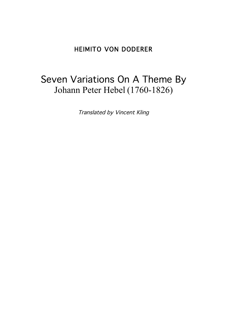# HEIMITO VON DODERER

# Seven Variations On A Theme By Johann Peter Hebel (1760-1826)

Translated by Vincent Kling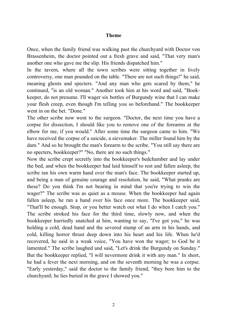#### **Theme**

Once, when the family friend was walking past the churchyard with Doctor von Brassenheim, the doctor pointed out a fresh grave and said, "That very man's another one who gave me the slip. His friends dispatched him."

In the tavern, where all the town scribes were sitting together in lively controversy, one man pounded on the table. "There are not such things!" he said, meaning ghosts and specters. "And any man who gets scared by them," he continued, "is an old woman." Another took him at his word and said, "Bookkeeper, do not presume. I'll wager six bottles of Burgundy wine that I can make your flesh creep, even though I'm telling you so beforehand." The bookkeeper went in on the bet. "Done."

The other scribe now went to the surgeon. "Doctor, the next time you have a corpse for dissection, I should like you to remove one of the forearms at the elbow for me, if you would." After some time the surgeon came to him. "We have received the corpse of a suicide, a sievemaker. The miller found him by the dam." And so he brought the man's forearm to the scribe. "You still say there are no specters, bookkeeper?" "No, there are no such things."

Now the scribe crept secretly into the bookkeeper's bedchamber and lay under the bed, and when the bookkeeper had laid himself to rest and fallen asleep, the scribe ran his own warm hand over the man's face. The bookkeeper started up, and being a man of genuine courage and resolution, he said, "What pranks are these? Do you think I'm not bearing in mind that you're trying to win the wager?" The scribe was as quiet as a mouse. When the bookkeeper had again fallen asleep, he ran a hand over his face once more. The bookkeeper said, "That'll be enough. Stop, or you better watch out what I do when I catch you." The scribe stroked his face for the third time, slowly now, and when the bookkeeper hurriedly snatched at him, wanting to say, "I've got you," he was holding a cold, dead hand and the severed stump of an arm in his hands, and cold, killing horror thrust deep down into his heart and his life. When he'd recovered, he said in a weak voice, "You have won the wager; to God be it lamented." The scribe laughed and said, "Let's drink the Burgundy on Sunday." But the bookkeeper replied, "I will nevermore drink it with any man." In short, he had a fever the next morning, and on the seventh morning he was a corpse. "Early yesterday," said the doctor to the family friend, "they bore him to the churchyard; he lies buried in the grave I showed you."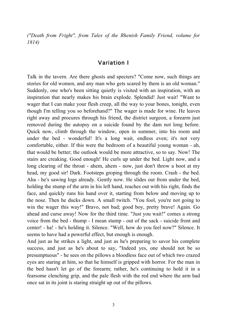*("Death from Fright", from Tales of the Rhenish Family Friend, volume for 1814)*

## Variation I

Talk in the tavern. Are there ghosts and specters? "Come now, such things are stories for old women, and any man who gets scared by them is an old woman." Suddenly, one who's been sitting quietly is visited with an inspiration, with an inspiration that nearly makes his brain explode. Splendid! Just wait! "Want to wager that I can make your flesh creep, all the way to your bones, tonight, even though I'm telling you so beforehand?" The wager is made for wine. He leaves right away and procures through his friend, the district surgeon, a forearm just removed during the autopsy on a suicide found by the dam not long before. Quick now, climb through the window, open in summer, into his room and under the bed - wonderful! It's a long wait, endless even; it's not very comfortable, either. If this were the bedroom of a beautiful young woman - ah, that would be better; the outlook would be more attractive, so to say. Now! The stairs are creaking. Good enough! He curls up under the bed. Light now, and a long clearing of the throat - ahem, ahem - now, just don't throw a boot at my head, my good sir! Dark. Footsteps groping through the room. Crash - the bed. Aha - he's sawing logs already. Gently now. He slides out from under the bed, holding the stump of the arm in his left hand, reaches out with his right, finds the face, and quickly runs his hand over it, starting from below and moving up to the nose. Then he ducks down. A small twitch. "You fool, you're not going to win the wager this way!" Bravo, not bad; good boy, pretty brave! Again. Go ahead and curse away! Now for the third time. "Just you wait!" comes a strong voice from the bed - thump - I mean stump - out of the sack - suicide front and center! - ha! - he's holding it. Silence. "Well, how do you feel now?" Silence. It seems to have had a powerful effect, but enough is enough.

And just as he strikes a light, and just as he's preparing to savor his complete success, and just as he's about to say, "Indeed yes, one should not be so presumptuous" - he sees on the pillows a bloodless face out of which two crazed eyes are staring at him, so that he himself is gripped with horror. For the man in the bed hasn't let go of the forearm; rather, he's continuing to hold it in a fearsome clenching grip, and the pale flesh with the red end where the arm had once sat in its joint is staring straight up out of the pillows.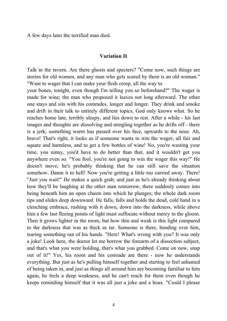A few days later the terrified man died.

#### **Variation II**

Talk in the tavern. Are there ghosts and specters? "Come now, such things are stories for old women, and any man who gets scared by them is an old woman." "Want to wager that I can make your flesh creep, all the way to

your bones, tonight, even though I'm telling you so beforehand?" The wager is made for wine; the man who proposed it leaves not long afterward. The other one stays and sits with his comrades, longer and longer. They drink and smoke and drift in their talk to entirely different topics, God only knows what. So he reaches home late, terribly sleepy, and lies down to rest. After a while - his last images and thoughts are dissolving and mingling together as he drifts off - there is a jerk; something warm has passed over his face, upwards to the nose. Ah, bravo! That's right, it looks as if someone wants to win the wager, all fair and square and harmless, and to get a few bottles of wine! No, you're wasting your time, you ninny, you'd have to do better than that, and it wouldn't get you anywhere even so. "You fool, you're not going to win the wager this way!" He doesn't move; he's probably thinking that he can still save the situation somehow. Damn it to hell! Now you're getting a little too carried away. There! "Just you wait!" He makes a quick grab, and just as he's already thinking about how they'll be laughing at the other man tomorrow, there suddenly comes into being beneath him an open chasm into which he plunges; the whole dark room tips and slides deep downward. He falls, falls and holds the dead, cold hand in a clenching embrace, rushing with it down, down into the darkness, while above him a few last fleeing points of light must suffocate without mercy in the gloom. Then it grows lighter in the room, but how thin and weak is this light compared to the darkness that was as thick as tar. Someone is there, bending over him, tearing something out of his hands. "Here! What's wrong with you? It was only a joke! Look here, the doctor let me borrow the forearm of a dissection subject, and that's what you were holding, that's what you grabbed. Come on now, snap out of it!" Yes, his room and his comrade are there - now he understands everything. But just as he's pulling himself together and starting to feel ashamed of being taken in, and just as things all around him are becoming familiar to him again, he feels a deep weakness, and he can't reach for them even though he keeps reminding himself that it was all just a joke and a hoax. "Could I please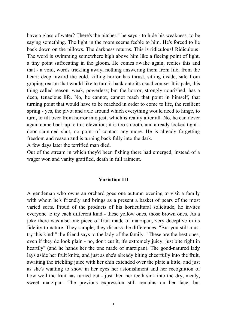have a glass of water? There's the pitcher," he says - to hide his weakness, to be saying something. The light in the room seems feeble to him. He's forced to lie back down on the pillows. The darkness returns. This is ridiculous! Ridiculous! The word is swimming somewhere high above him like a fleeing point of light, a tiny point suffocating in the gloom. He comes awake again, recites this and that - a void, words trickling away, nothing answering them from life, from the heart: deep inward the cold, killing horror has thrust, sitting inside, safe from groping reason that would like to turn it back onto its usual course. It is pale, this thing called reason, weak, powerless; but the horror, strongly nourished, has a deep, tenacious life. No, he cannot, cannot reach that point in himself, that turning point that would have to be reached in order to come to life, the resilient spring - yes, the pivot and axle around which everything would need to hinge, to turn, to tilt over from horror into jest, which is reality after all. No, he can never again come back up to this elevation; it is too smooth, and already locked tight door slammed shut, no point of contact any more. He is already forgetting freedom and reason and is turning back fully into the dark.

A few days later the terrified man died.

Out of the stream in which they'd been fishing there had emerged, instead of a wager won and vanity gratified, death in full raiment.

#### **Variation III**

A gentleman who owns an orchard goes one autumn evening to visit a family with whom he's friendly and brings as a present a basket of pears of the most varied sorts. Proud of the products of his horticultural solicitude, he invites everyone to try each different kind - these yellow ones, those brown ones. As a joke there was also one piece of fruit made of marzipan, very deceptive in its fidelity to nature. They sample; they discuss the differences. "But you still must try this kind!" the friend says to the lady of the family. "These are the best ones, even if they do look plain - no, don't cut it, it's extremely juicy; just bite right in heartily" (and he hands her the one made of marzipan). The good-natured lady lays aside her fruit knife, and just as she's already biting cheerfully into the fruit, awaiting the trickling juice with her chin extended over the plate a little, and just as she's wanting to show in her eyes her astonishment and her recognition of how well the fruit has turned out - just then her teeth sink into the dry, mealy, sweet marzipan. The previous expression still remains on her face, but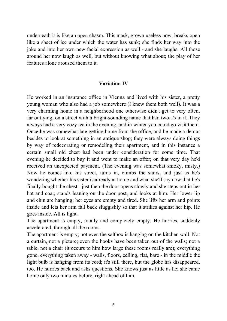underneath it is like an open chasm. This mask, grown useless now, breaks open like a sheet of ice under which the water has sunk; she finds her way into the joke and into her own new facial expression as well - and she laughs. All those around her now laugh as well, but without knowing what about; the play of her features alone aroused them to it.

#### **Variation IV**

He worked in an insurance office in Vienna and lived with his sister, a pretty young woman who also had a job somewhere (I knew them both well). It was a very charming home in a neighborhood one otherwise didn't get to very often, far outlying, on a street with a bright-sounding name that had two a's in it. They always had a very cozy tea in the evening, and in winter you could go visit them. Once he was somewhat late getting home from the office, and he made a detour besides to look at something in an antique shop; they were always doing things by way of redecorating or remodeling their apartment, and in this instance a certain small old chest had been under consideration for some time. That evening he decided to buy it and went to make an offer; on that very day he'd received an unexpected payment. (The evening was somewhat smoky, misty.) Now he comes into his street, turns in, climbs the stairs, and just as he's wondering whether his sister is already at home and what she'll say now that he's finally bought the chest - just then the door opens slowly and she steps out in her hat and coat, stands leaning on the door post, and looks at him. Her lower lip and chin are hanging; her eyes are empty and tired. She lifts her arm and points inside and lets her arm fall back sluggishly so that it strikes against her hip. He goes inside. All is light.

The apartment is empty, totally and completely empty. He hurries, suddenly accelerated, through all the rooms.

The apartment is empty; not even the saltbox is hanging on the kitchen wall. Not a curtain, not a picture; even the hooks have been taken out of the walls; not a table, not a chair (it occurs to him how large these rooms really are); everything gone, everything taken away - walls, floors, ceiling, flat, bare - in the middle the light bulb is hanging from its cord; it's still there, but the globe has disappeared, too. He hurries back and asks questions. She knows just as little as he; she came home only two minutes before, right ahead of him.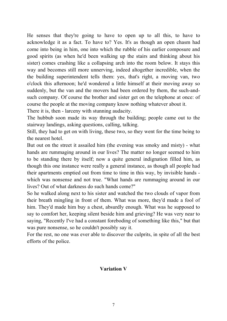He senses that they're going to have to open up to all this, to have to acknowledge it as a fact. To have to? Yes. It's as though an open chasm had come into being in him, one into which the rubble of his earlier composure and good spirits (as when he'd been walking up the stairs and thinking about his sister) comes crashing like a collapsing arch into the room below. It stays this way and becomes still more unnerving, indeed altogether incredible, when the the building superintendent tells them: yes, that's right, a moving van, two o'clock this afternoon; he'd wondered a little himself at their moving away so suddenly, but the van and the movers had been ordered by them, the such-andsuch company. Of course the brother and sister get on the telephone at once: of course the people at the moving company know nothing whatever about it.

There it is, then - larceny with stunning audacity.

The hubbub soon made its way through the building; people came out to the stairway landings, asking questions, calling, talking.

Still, they had to get on with living, these two, so they went for the time being to the nearest hotel.

But out on the street it assailed him (the evening was smoky and misty) - what hands are rummaging around in our lives? The matter no longer seemed to him to be standing there by itself; now a quite general indignation filled him, as though this one instance were really a general instance, as though all people had their apartments emptied out from time to time in this way, by invisible hands which was nonsense and not true. "What hands are rummaging around in our lives? Out of what darkness do such hands come?"

So he walked along next to his sister and watched the two clouds of vapor from their breath mingling in front of them. What was more, they'd made a fool of him. They'd made him buy a chest, absurdly enough. What was he supposed to say to comfort her, keeping silent beside him and grieving? He was very near to saying, "Recently I've had a constant foreboding of something like this," but that was pure nonsense, so he couldn't possibly say it.

For the rest, no one was ever able to discover the culprits, in spite of all the best efforts of the police.

### **Variation V**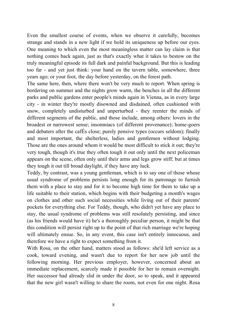Even the smallest course of events, when we observe it carefully, becomes strange and stands in a new light if we hold its uniqueness up before our eyes. One meaning to which even the most meaningless matter can lay claim is that nothing comes back again, just as that's exactly what it takes to bestow on the truly meaningful episode its full dark and painful background. But this is leading too far - and yet just think: your hand on the tavern table, somewhere, three years ago; or your foot, the day before yesterday, on the forest path.

The same here, then, where there won't be very much to report. When spring is bordering on summer and the nights grow warm, the benches in all the different parks and public gardens enter people's minds again in Vienna, as in every large city - in winter they're mostly disowned and disdained, often cushioned with snow, completely undisturbed and unperturbed - they reenter the minds of different segments of the public, and those include, among others: lovers in the broadest or narrowest sense; insomniacs (of different provenance); home-goers and debaters after the cafÉs close; purely pensive types (occurs seldom); finally and most important, the shelterless, ladies and gentlemen without lodging. Those are the ones around whom it would be most difficult to stick it out; they're very tough, though it's true they often tough it out only until the next policeman appears on the scene, often only until their arms and legs grow stiff; but at times they tough it out till broad daylight, if they have any luck.

Teddy, by contrast, was a young gentleman, which is to say one of those whose usual syndrome of problems persists long enough for its patronage to furnish them with a place to stay and for it to become high time for them to take up a life suitable to their station, which begins with their budgeting a month's wages on clothes and other such social necessities while living out of their parents' pockets for everything else. For Teddy, though, who didn't yet have any place to stay, the usual syndrome of problems was still resolutely persisting, and since (as his friends would have it) he's a thoroughly peculiar person, it might be that this condition will persist right up to the point of that rich marriage we're hoping will ultimately ensue. So, in any event, this case isn't entirely innocuous, and therefore we have a right to expect something from it.

With Rosa, on the other hand, matters stood as follows: she'd left service as a cook, toward evening, and wasn't due to report for her new job until the following morning. Her previous employer, however, concerned about an immediate replacement, scarcely made it possible for her to remain overnight. Her successor had already slid in under the door, so to speak, and it appeared that the new girl wasn't willing to share the room, not even for one night. Rosa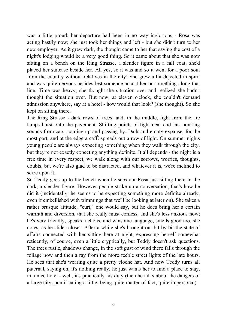was a little proud; her departure had been in no way inglorious - Rosa was acting hastily now; she just took her things and left - but she didn't turn to her new employer. As it grew dark, the thought came to her that saving the cost of a night's lodging would be a very good thing. So it came about that she was now sitting on a bench on the Ring Strasse, a slender figure in a fall coat; she'd placed her suitcase beside her. Ah yes, so it was and so it went for a poor soul from the country without relatives in the city! She grew a bit dejected in spirit and was quite nervous besides lest someone accost her or something along that line. Time was heavy; she thought the situation over and realized she hadn't thought the situation over. But now, at eleven o'clock, she couldn't demand admission anywhere, say at a hotel - how would that look? (she thought). So she kept on sitting there.

The Ring Strasse - dark rows of trees, and, in the middle, light from the arc lamps burst onto the pavement. Shifting points of light near and far, honking sounds from cars, coming up and passing by. Dark and empty expanse, for the most part, and at the edge a cafÉ spreads out a row of light. On summer nights young people are always expecting something when they walk through the city, but they're not exactly expecting anything definite. It all depends - the night is a free time in every respect; we walk along with our sorrows, worries, thoughts, doubts, but we're also glad to be distracted, and whatever it is, we're inclined to seize upon it.

So Teddy goes up to the bench when he sees our Rosa just sitting there in the dark, a slender figure. However people strike up a conversation, that's how he did it (incidentally, he seems to be expecting something more definite already, even if embellished with trimmings that we'll be looking at later on). She takes a rather brusque attitude, "curt," one would say, but he does bring her a certain warmth and diversion, that she really must confess, and she's less anxious now; he's very friendly, speaks a choice and winsome language, smells good too, she notes, as he slides closer. After a while she's brought out bit by bit the state of affairs connected with her sitting here at night, expressing herself somewhat reticently, of course, even a little cryptically, but Teddy doesn't ask questions. The trees rustle, shadows change, in the soft gust of wind there falls through the foliage now and then a ray from the more feeble street lights of the late hours. He sees that she's wearing quite a pretty cloche hat. And now Teddy turns all paternal, saying oh, it's nothing really, he just wants her to find a place to stay, in a nice hotel - well, it's practically his duty (then he talks about the dangers of a large city, pontificating a little, being quite matter-of-fact, quite impersonal) -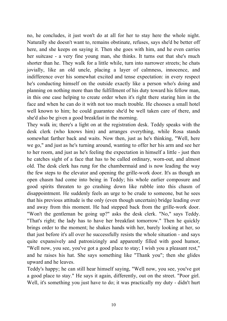no, he concludes, it just won't do at all for her to stay here the whole night. Naturally she doesn't want to, remains obstinate, refuses, says she'd be better off here, and she keeps on saying it. Then she goes with him, and he even carries her suitcase - a very fine young man, she thinks. It turns out that she's much shorter than he. They walk for a little while, turn into narrower streets; he chats jovially, like an old uncle, placing a layer of calmness, innocence, and indifference over his somewhat excited and tense expectation: in every respect he's conducting himself on the outside exactly like a person who's doing and planning on nothing more than the fulfillment of his duty toward his fellow man, in this one case helping to create order when it's right there staring him in the face and when he can do it with not too much trouble. He chooses a small hotel well known to him; he could guarantee she'd be well taken care of there, and she'd also be given a good breakfast in the morning.

They walk in; there's a light on at the registration desk. Teddy speaks with the desk clerk (who knows him) and arranges everything, while Rosa stands somewhat farther back and waits. Now then, just as he's thinking, "Well, here we go," and just as he's turning around, wanting to offer her his arm and see her to her room, and just as he's feeling the expectation in himself a little - just then he catches sight of a face that has to be called ordinary, worn-out, and almost old. The desk clerk has rung for the chambermaid and is now leading the way the few steps to the elevator and opening the grille-work door. It's as though an open chasm had come into being in Teddy; his whole earlier composure and good spirits threaten to go crashing down like rubble into this chasm of disappointment. He suddenly feels an urge to be crude to someone, but he sees that his previous attitude is the only (even though uncertain) bridge leading over and away from this moment. He had stepped back from the grille-work door. "Won't the gentleman be going up?" asks the desk clerk. "No," says Teddy. "That's right; the lady has to have her breakfast tomorrow." Then he quickly brings order to the moment; he shakes hands with her, barely looking at her, so that just before it's all over he successfully resists the whole situation - and says quite expansively and patronizingly and apparently filled with good humor, "Well now, you see, you've got a good place to stay; I wish you a pleasant rest," and he raises his hat. She says something like "Thank you"; then she glides upward and he leaves.

Teddy's happy; he can still hear himself saying, "Well now, you see, you've got a good place to stay." He says it again, differently, out on the street. "Poor girl. Well, it's something you just have to do; it was practically my duty - didn't hurt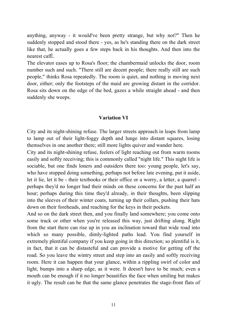anything, anyway - it would've been pretty strange, but why not?" Then he suddenly stopped and stood there - yes, as he's standing there on the dark street like that, he actually goes a few steps back in his thoughts. And then into the nearest cafÉ.

The elevator eases up to Rosa's floor; the chambermaid unlocks the door, room number such and such. "There still are decent people; there really still are such people," thinks Rosa repeatedly. The room is quiet, and nothing is moving next door, either; only the footsteps of the maid are growing distant in the corridor. Rosa sits down on the edge of the bed, gazes a while straight ahead - and then suddenly she weeps.

#### **Variation VI**

City and its night-shining refuse. The larger streets approach in leaps from lamp to lamp out of their light-foggy depth and lunge into distant squares, losing themselves in one another there; still more lights quiver and wander here.

City and its night-shining refuse, feelers of light reaching out from warm rooms easily and softly receiving; this is commonly called "night life." This night life is sociable, but one finds loners and outsiders there too: young people, let's say, who have stopped doing something, perhaps not before late evening, put it aside, let it lie, let it be - their textbooks or their office or a worry, a letter, a quarrel perhaps they'd no longer had their minds on these concerns for the past half an hour; perhaps during this time they'd already, in their thoughts, been slipping into the sleeves of their winter coats, turning up their collars, pushing their hats down on their foreheads, and reaching for the keys in their pockets.

And so on the dark street then, and you finally land somewhere; you come onto some track or other when you're released this way, just drifting along. Right from the start there can rise up in you an inclination toward that wide road into which so many possible, dimly-lighted paths lead. You find yourself in extremely plentiful company if you keep going in this direction; so plentiful is it, in fact, that it can be distasteful and can provide a motive for getting off the road. So you leave the wintry street and step into an easily and softly receiving room. Here it can happen that your glance, within a rippling swirl of color and light, bumps into a sharp edge, as it were. It doesn't have to be much; even a mouth can be enough if it no longer beautifies the face when smiling but makes it ugly. The result can be that the same glance penetrates the stage-front flats of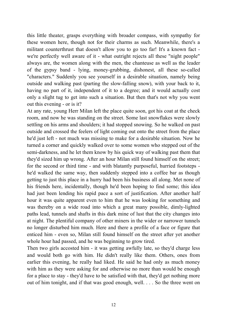this little theater, grasps everything with broader compass, with sympathy for these women here, though not for their charms as such. Meanwhile, there's a militant counterthrust that doesn't allow you to go too far! It's a known fact we're perfectly well aware of it - what outright rejects all these "night people" always are, the women along with the men, the chanteuse as well as the leader of the gypsy band - lying, money-grubbing, dishonest, all these so-called "characters." Suddenly you see yourself in a desirable situation, namely being outside and walking past (parting the slow-falling snow), with your back to it, having no part of it, independent of it to a degree; and it would actually cost only a slight tug to get into such a situation. But then that's not why you went out this evening - or is it?

At any rate, young Herr Milan left the place quite soon, got his coat at the check room, and now he was standing on the street. Some last snowflakes were slowly settling on his arms and shoulders; it had stopped snowing. So he walked on past outside and crossed the feelers of light coming out onto the street from the place he'd just left - not much was missing to make for a desirable situation. Now he turned a corner and quickly walked over to some women who stepped out of the semi-darkness, and he let them know by his quick way of walking past them that they'd sized him up wrong. After an hour Milan still found himself on the street; for the second or third time - and with blatantly purposeful, hurried footsteps he'd walked the same way, then suddenly stepped into a coffee bar as though getting to just this place in a hurry had been his business all along. Met none of his friends here, incidentally, though he'd been hoping to find some; this idea had just been lending his rapid pace a sort of justification. After another half hour it was quite apparent even to him that he was looking for something and was thereby on a wide road into which a great many possible, dimly-lighted paths lead, tunnels and shafts in this dark mine of lust that the city changes into at night. The plentiful company of other miners in the wider or narrower tunnels no longer disturbed him much. Here and there a profile of a face or figure that enticed him - even so, Milan still found himself on the street after yet another whole hour had passed, and he was beginning to grow tired.

Then two girls accosted him - it was getting awfully late, so they'd charge less and would both go with him. He didn't really like them. Others, ones from earlier this evening, he really had liked. He said he had only as much money with him as they were asking for and otherwise no more than would be enough for a place to stay - they'd have to be satisfied with that, they'd get nothing more out of him tonight, and if that was good enough, well. . . . So the three went on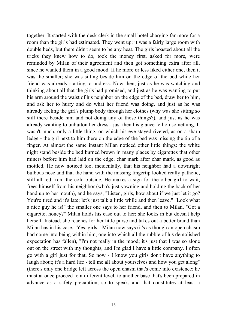together. It started with the desk clerk in the small hotel charging far more for a room than the girls had estimated. They went up; it was a fairly large room with double beds, but there didn't seem to be any heat. The girls boasted about all the tricks they knew how to do, took the money first, asked for more, were reminded by Milan of their agreement and then got something extra after all, since he wanted them in a good mood. If he more or less liked either one, then it was the smaller; she was sitting beside him on the edge of the bed while her friend was already starting to undress. Now then, just as he was watching and thinking about all that the girls had promised, and just as he was wanting to put his arm around the waist of his neighbor on the edge of the bed, draw her to him, and ask her to hurry and do what her friend was doing, and just as he was already feeling the girl's plump body through her clothes (why was she sitting so still there beside him and not doing any of those things?), and just as he was already wanting to unbutton her dress - just then his glance fell on something. It wasn't much, only a little thing, on which his eye stayed riveted, as on a sharp ledge - the girl next to him there on the edge of the bed was missing the tip of a finger. At almost the same instant Milan noticed other little things: the white night stand beside the bed burned brown in many places by cigarettes that other miners before him had laid on the edge; char mark after char mark, as good as mottled. He now noticed too, incidentally, that his neighbor had a downright bulbous nose and that the hand with the missing fingertip looked really pathetic, still all red from the cold outside. He makes a sign for the other girl to wait, frees himself from his neighbor (who's just yawning and holding the back of her hand up to her mouth), and he says, "Listen, girls, how about if we just let it go? You're tired and it's late; let's just talk a little while and then leave." "Look what a nice guy he is!" the smaller one says to her friend, and then to Milan, "Got a cigarette, honey?" Milan holds his case out to her; she looks in but doesn't help herself. Instead, she reaches for her little purse and takes out a better brand than Milan has in his case. "Yes, girls," Milan now says (it's as though an open chasm had come into being within him, one into which all the rubble of his demolished expectation has fallen), "I'm not really in the mood; it's just that I was so alone out on the street with my thoughts, and I'm glad I have a little company. I often go with a girl just for that. So now - I know you girls don't have anything to laugh about; it's a hard life - tell me all about yourselves and how you get along" (there's only one bridge left across the open chasm that's come into existence; he must at once proceed to a different level, to another base that's been prepared in advance as a safety precaution, so to speak, and that constitutes at least a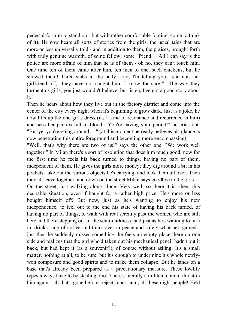pedestal for him to stand on - but with rather comfortable footing, come to think of it). He now hears all sorts of stories from the girls, the usual tales that are more or less universally told - and in addition to them, the praises, brought forth with truly genuine warmth, of some fellow, some "friend." "All I can say is the police are more afraid of him that he is of them - oh no, they can't touch him. One time ten of them came after him, ten men to one, such chickens, but he showed them! Three stabs in the belly - no, I'm telling you," she cuts her girlfriend off, "they have not caught him, I know for sure!" "The way they torment us girls, you just wouldn't believe, but listen, I've got a good story about it."

Then he hears about how they live out in the factory district and come into the center of the city every night when it's beginning to grow dark. Just as a joke, he now lifts up the one girl's dress (it's a kind of resonance and recurrence in him) and sees her panties full of blood. "You're having your period!" he cries out. "But yet you're going around. . ." (at this moment he really believes his glance is now penetrating this entire foreground and becoming more encompassing).

"Well, that's why there are two of us!" says the other one. "We work well together." In Milan there's a sort of resolution that does him much good; now for the first time he feels his back turned to things, having no part of them, independent of them. He gives the girls more money; they dig around a bit in his pockets, take out the various objects he's carrying, and look them all over. Then they all leave together, and down on the street Milan says goodbye to the girls.

On the street, just walking along alone. Very well, so there it is, then, this desirable situation, even if bought for a rather high price. He's more or less bought himself off. But now, just as he's wanting to enjoy his new independence, to feel out to the end his state of having his back turned, of having no part of things, to walk with real serenity past the women who are still here and there stepping out of the semi-darkness; and just as he's wanting to turn in, drink a cup of coffee and think over in peace and safety what he's gained just then he suddenly misses something; he feels an empty place there on one side and realizes that the girl who'd taken out his mechanical pencil hadn't put it back, but had kept it (as a souvenir?), of course without asking. It's a small matter, nothing at all, to be sure, but it's enough to undermine his whole newlywon composure and good spirits and to make them collapse. But he lands on a base that's already been prepared as a precautionary measure. These lowlife types always have to be stealing, too! There's literally a militant counterthrust in him against all that's gone before: rejects and scum, all these night people! He'd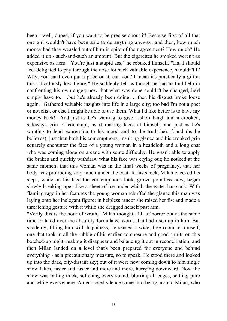been - well, duped, if you want to be precise about it! Because first of all that one girl wouldn't have been able to do anything anyway; and then, how much money had they weasled out of him in spite of their agreement? How much? He added it up - such-and-such an amount! But the cigarettes he smoked weren't as expensive as hers! "You're just a stupid ass," he rebuked himself. "Ha, I should feel delighted to pay through the nose for such valuable experience, shouldn't I? Why, you can't even put a price on it, can you? I mean it's practically a gift at this ridiculously low figure!" He suddenly felt as though he had to find help in confronting his own anger; now that what was done couldn't be changed, he'd simply have to. . .but he's already been doing. . .then his disgust broke loose again. "Gathered valuable insights into life in a large city; too bad I'm not a poet or novelist, or else I might be able to use them. What I'd like better is to have my money back!" And just as he's wanting to give a short laugh and a crooked, sideways grin of contempt, as if making faces at himself, and just as he's wanting to lend expression to his mood and to the truth he's found (as he believes), just then both his contemptuous, insulting glance and his crooked grin squarely encounter the face of a young woman in a headcloth and a long coat who was coming along on a cane with some difficulty. He wasn't able to apply the brakes and quickly withdraw what his face was crying out; he noticed at the same moment that this woman was in the final weeks of pregnancy, that her body was protruding very much under the coat. In his shock, Milan checked his steps, while on his face the contemptuous look, grown pointless now, began slowly breaking open like a sheet of ice under which the water has sunk. With flaming rage in her features the young woman rebuffed the glance this man was laying onto her inelegant figure; in helpless rancor she raised her fist and made a threatening gesture with it while she dragged herself past him.

"Verily this is the hour of wrath," Milan thought, full of horror but at the same time irritated over the absurdly formulated words that had risen up in him. But suddenly, filling him with happiness, he sensed a wide, free room in himself, one that took in all the rubble of his earlier composure and good spirits on this botched-up night, making it disappear and balancing it out in reconciliation; and then Milan landed on a level that's been prepared for everyone and behind everything - as a precautionary measure, so to speak. He stood there and looked up into the dark, city-distant sky; out of it were now coming down to him single snowflakes, faster and faster and more and more, hurrying downward. Now the snow was falling thick, softening every sound, blurring all edges, settling pure and white everywhere. An enclosed silence came into being around Milan, who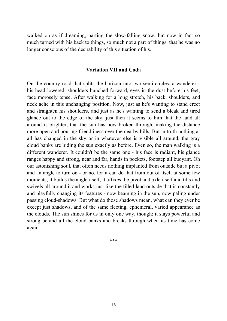walked on as if dreaming, parting the slow-falling snow; but now in fact so much turned with his back to things, so much not a part of things, that he was no longer conscious of the desirability of this situation of his.

#### **Variation VII and Coda**

On the country road that splits the horizon into two semi-circles, a wanderer his head lowered, shoulders hunched forward, eyes in the dust before his feet, face morosely tense. After walking for a long stretch, his back, shoulders, and neck ache in this unchanging position. Now, just as he's wanting to stand erect and straighten his shoulders, and just as he's wanting to send a bleak and tired glance out to the edge of the sky, just then it seems to him that the land all around is brighter, that the sun has now broken through, making the distance more open and pouring friendliness over the nearby hills. But in truth nothing at all has changed in the sky or in whatever else is visible all around; the gray cloud banks are hiding the sun exactly as before. Even so, the man walking is a different wanderer. It couldn't be the same one - his face is radiant, his glance ranges happy and strong, near and far, hands in pockets, footstep all buoyant. Oh our astonishing soul, that often needs nothing implanted from outside but a pivot and an angle to turn on - or no, for it can do that from out of itself at some few moments; it builds the angle itself, it affixes the pivot and axle itself and tilts and swivels all around it and works just like the tilled land outside that is constantly and playfully changing its features - now beaming in the sun, now paling under passing cloud-shadows. But what do those shadows mean, what can they ever be except just shadows, and of the same fleeting, ephemeral, varied appearance as the clouds. The sun shines for us in only one way, though; it stays powerful and strong behind all the cloud banks and breaks through when its time has come again.

\*\*\*